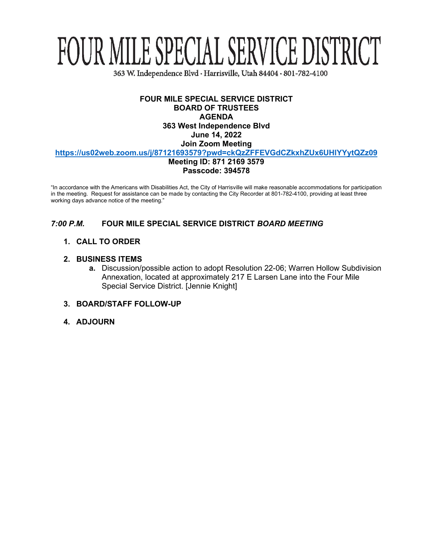# FOUR MILE SPECIAL SERVICE DISTRICT

363 W. Independence Blvd · Harrisville, Utah 84404 · 801-782-4100

#### **FOUR MILE SPECIAL SERVICE DISTRICT BOARD OF TRUSTEES AGENDA 363 West Independence Blvd June 14, 2022 Join Zoom Meeting <https://us02web.zoom.us/j/87121693579?pwd=ckQzZFFEVGdCZkxhZUx6UHlYYytQZz09>**

**Meeting ID: 871 2169 3579 Passcode: 394578**

"In accordance with the Americans with Disabilities Act, the City of Harrisville will make reasonable accommodations for participation in the meeting. Request for assistance can be made by contacting the City Recorder at 801-782-4100, providing at least three working days advance notice of the meeting."

# *7:00 P.M.* **FOUR MILE SPECIAL SERVICE DISTRICT** *BOARD MEETING*

#### **1. CALL TO ORDER**

#### **2. BUSINESS ITEMS**

**a.** Discussion/possible action to adopt Resolution 22-06; Warren Hollow Subdivision Annexation, located at approximately 217 E Larsen Lane into the Four Mile Special Service District. [Jennie Knight]

#### **3. BOARD/STAFF FOLLOW-UP**

**4. ADJOURN**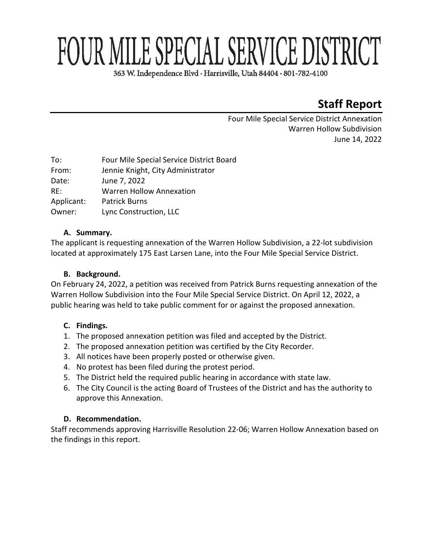# FOUR MILE SPECIAL SERVICE DISTRICT

363 W. Independence Blvd · Harrisville, Utah 84404 · 801-782-4100

# **Staff Report**

Four Mile Special Service District Annexation Warren Hollow Subdivision June 14, 2022

| Four Mile Special Service District Board |
|------------------------------------------|
| Jennie Knight, City Administrator        |
| June 7, 2022                             |
| <b>Warren Hollow Annexation</b>          |
| <b>Patrick Burns</b>                     |
| Lync Construction, LLC                   |
|                                          |

# **A. Summary.**

The applicant is requesting annexation of the Warren Hollow Subdivision, a 22-lot subdivision located at approximately 175 East Larsen Lane, into the Four Mile Special Service District.

# **B. Background.**

On February 24, 2022, a petition was received from Patrick Burns requesting annexation of the Warren Hollow Subdivision into the Four Mile Special Service District. On April 12, 2022, a public hearing was held to take public comment for or against the proposed annexation.

# **C. Findings.**

- 1. The proposed annexation petition was filed and accepted by the District.
- 2. The proposed annexation petition was certified by the City Recorder.
- 3. All notices have been properly posted or otherwise given.
- 4. No protest has been filed during the protest period.
- 5. The District held the required public hearing in accordance with state law.
- 6. The City Council is the acting Board of Trustees of the District and has the authority to approve this Annexation.

# **D. Recommendation.**

Staff recommends approving Harrisville Resolution 22-06; Warren Hollow Annexation based on the findings in this report.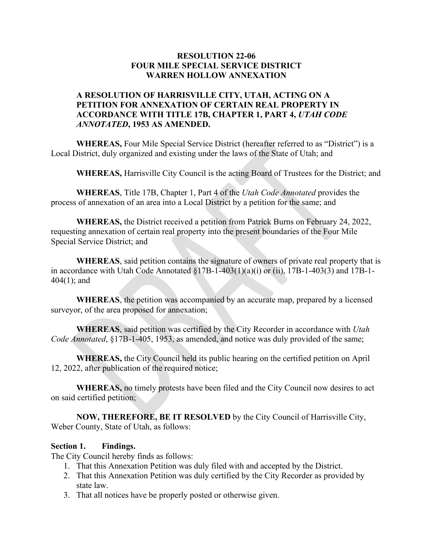#### **RESOLUTION 22-06 FOUR MILE SPECIAL SERVICE DISTRICT WARREN HOLLOW ANNEXATION**

# **A RESOLUTION OF HARRISVILLE CITY, UTAH, ACTING ON A PETITION FOR ANNEXATION OF CERTAIN REAL PROPERTY IN ACCORDANCE WITH TITLE 17B, CHAPTER 1, PART 4,** *UTAH CODE ANNOTATED***, 1953 AS AMENDED.**

**WHEREAS,** Four Mile Special Service District (hereafter referred to as "District") is a Local District, duly organized and existing under the laws of the State of Utah; and

**WHEREAS,** Harrisville City Council is the acting Board of Trustees for the District; and

**WHEREAS**, Title 17B, Chapter 1, Part 4 of the *Utah Code Annotated* provides the process of annexation of an area into a Local District by a petition for the same; and

**WHEREAS,** the District received a petition from Patrick Burns on February 24, 2022, requesting annexation of certain real property into the present boundaries of the Four Mile Special Service District; and

**WHEREAS**, said petition contains the signature of owners of private real property that is in accordance with Utah Code Annotated  $\S17B-1-403(1)(a)(i)$  or (ii), 17B-1-403(3) and 17B-1-404(1); and

**WHEREAS**, the petition was accompanied by an accurate map, prepared by a licensed surveyor, of the area proposed for annexation;

**WHEREAS**, said petition was certified by the City Recorder in accordance with *Utah Code Annotated*, §17B-1-405, 1953, as amended, and notice was duly provided of the same;

**WHEREAS,** the City Council held its public hearing on the certified petition on April 12, 2022, after publication of the required notice;

**WHEREAS,** no timely protests have been filed and the City Council now desires to act on said certified petition;

**NOW, THEREFORE, BE IT RESOLVED** by the City Council of Harrisville City, Weber County, State of Utah, as follows:

#### **Section 1. Findings.**

The City Council hereby finds as follows:

- 1. That this Annexation Petition was duly filed with and accepted by the District.
- 2. That this Annexation Petition was duly certified by the City Recorder as provided by state law.
- 3. That all notices have be properly posted or otherwise given.